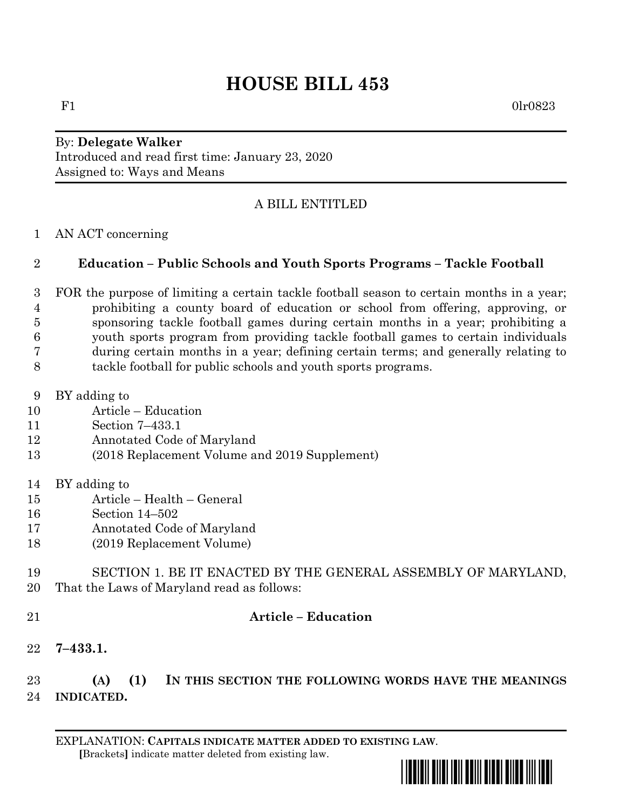# **HOUSE BILL 453**

 $F1$  0lr0823

#### By: **Delegate Walker** Introduced and read first time: January 23, 2020 Assigned to: Ways and Means

# A BILL ENTITLED

AN ACT concerning

### **Education – Public Schools and Youth Sports Programs – Tackle Football**

- FOR the purpose of limiting a certain tackle football season to certain months in a year; prohibiting a county board of education or school from offering, approving, or sponsoring tackle football games during certain months in a year; prohibiting a youth sports program from providing tackle football games to certain individuals during certain months in a year; defining certain terms; and generally relating to tackle football for public schools and youth sports programs.
- BY adding to
- Article Education
- Section 7–433.1
- Annotated Code of Maryland
- (2018 Replacement Volume and 2019 Supplement)
- BY adding to
- Article Health General
- Section 14–502
- Annotated Code of Maryland
- (2019 Replacement Volume)
- SECTION 1. BE IT ENACTED BY THE GENERAL ASSEMBLY OF MARYLAND, That the Laws of Maryland read as follows:
- 

## **Article – Education**

**7–433.1.**

 **(A) (1) IN THIS SECTION THE FOLLOWING WORDS HAVE THE MEANINGS INDICATED.**

EXPLANATION: **CAPITALS INDICATE MATTER ADDED TO EXISTING LAW**.  **[**Brackets**]** indicate matter deleted from existing law.

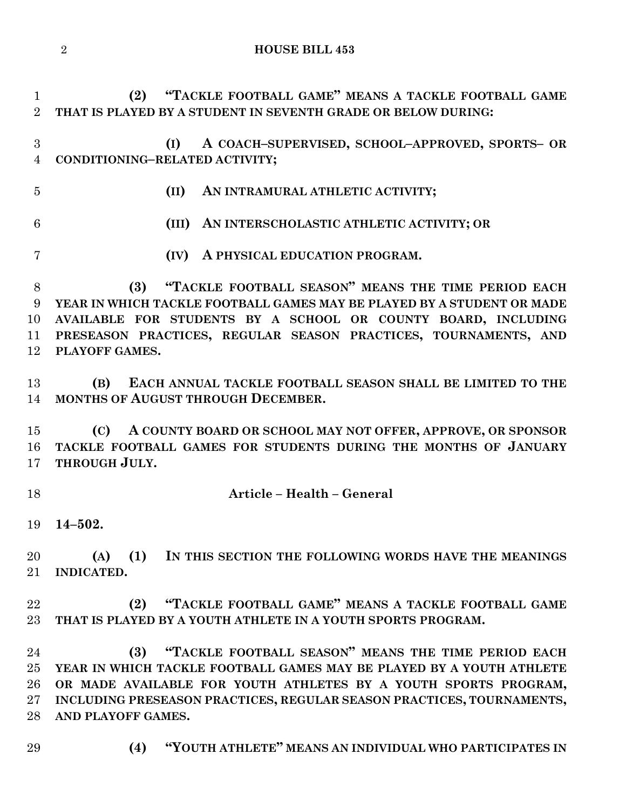**(2) "TACKLE FOOTBALL GAME" MEANS A TACKLE FOOTBALL GAME THAT IS PLAYED BY A STUDENT IN SEVENTH GRADE OR BELOW DURING:**

 **(I) A COACH–SUPERVISED, SCHOOL–APPROVED, SPORTS– OR CONDITIONING–RELATED ACTIVITY;**

**(II) AN INTRAMURAL ATHLETIC ACTIVITY;**

- **(III) AN INTERSCHOLASTIC ATHLETIC ACTIVITY; OR**
- **(IV) A PHYSICAL EDUCATION PROGRAM.**

 **(3) "TACKLE FOOTBALL SEASON" MEANS THE TIME PERIOD EACH YEAR IN WHICH TACKLE FOOTBALL GAMES MAY BE PLAYED BY A STUDENT OR MADE AVAILABLE FOR STUDENTS BY A SCHOOL OR COUNTY BOARD, INCLUDING PRESEASON PRACTICES, REGULAR SEASON PRACTICES, TOURNAMENTS, AND PLAYOFF GAMES.**

 **(B) EACH ANNUAL TACKLE FOOTBALL SEASON SHALL BE LIMITED TO THE MONTHS OF AUGUST THROUGH DECEMBER.**

 **(C) A COUNTY BOARD OR SCHOOL MAY NOT OFFER, APPROVE, OR SPONSOR TACKLE FOOTBALL GAMES FOR STUDENTS DURING THE MONTHS OF JANUARY THROUGH JULY.**

**Article – Health – General**

**14–502.**

 **(A) (1) IN THIS SECTION THE FOLLOWING WORDS HAVE THE MEANINGS INDICATED.**

 **(2) "TACKLE FOOTBALL GAME" MEANS A TACKLE FOOTBALL GAME THAT IS PLAYED BY A YOUTH ATHLETE IN A YOUTH SPORTS PROGRAM.**

 **(3) "TACKLE FOOTBALL SEASON" MEANS THE TIME PERIOD EACH YEAR IN WHICH TACKLE FOOTBALL GAMES MAY BE PLAYED BY A YOUTH ATHLETE OR MADE AVAILABLE FOR YOUTH ATHLETES BY A YOUTH SPORTS PROGRAM, INCLUDING PRESEASON PRACTICES, REGULAR SEASON PRACTICES, TOURNAMENTS, AND PLAYOFF GAMES.**

- 
- **(4) "YOUTH ATHLETE" MEANS AN INDIVIDUAL WHO PARTICIPATES IN**